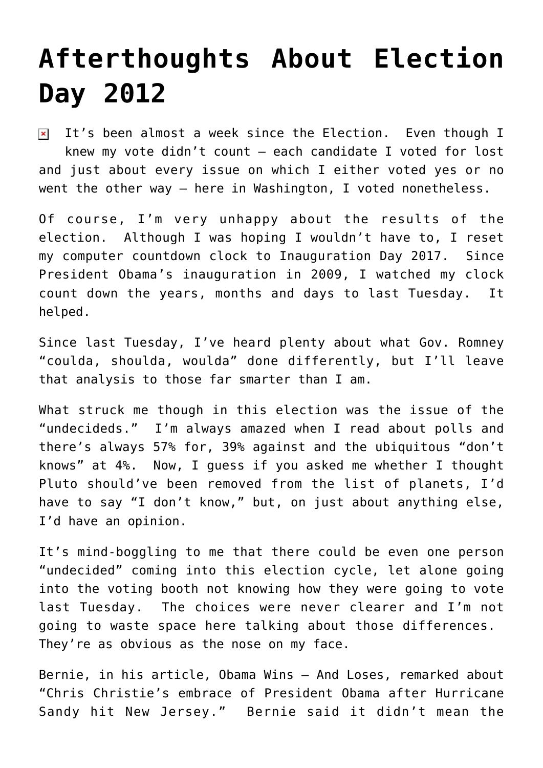## **[Afterthoughts About Election](https://bernardgoldberg.com/afterthoughts-about-election-day-2012/) [Day 2012](https://bernardgoldberg.com/afterthoughts-about-election-day-2012/)**

 $\overline{I}$  It's been almost a week since the Election. Even though I knew my vote didn't count – each candidate I voted for lost and just about every issue on which I either voted yes or no went the other way – here in Washington, I voted nonetheless.

Of course, I'm very unhappy about the results of the election. Although I was hoping I wouldn't have to, I reset my computer countdown clock to Inauguration Day 2017. Since President Obama's inauguration in 2009, I watched my clock count down the years, months and days to last Tuesday. It helped.

Since last Tuesday, I've heard plenty about what Gov. Romney "coulda, shoulda, woulda" done differently, but I'll leave that analysis to those far smarter than I am.

What struck me though in this election was the issue of the "undecideds." I'm always amazed when I read about polls and there's always 57% for, 39% against and the ubiquitous "don't knows" at 4%. Now, I guess if you asked me whether I thought Pluto should've been removed from the list of planets, I'd have to say "I don't know," but, on just about anything else, I'd have an opinion.

It's mind-boggling to me that there could be even one person "undecided" coming into this election cycle, let alone going into the voting booth not knowing how they were going to vote last Tuesday. The choices were never clearer and I'm not going to waste space here talking about those differences. They're as obvious as the nose on my face.

Bernie, in his article, Obama Wins – And Loses, remarked about "Chris Christie's embrace of President Obama after Hurricane Sandy hit New Jersey." Bernie said it didn't mean the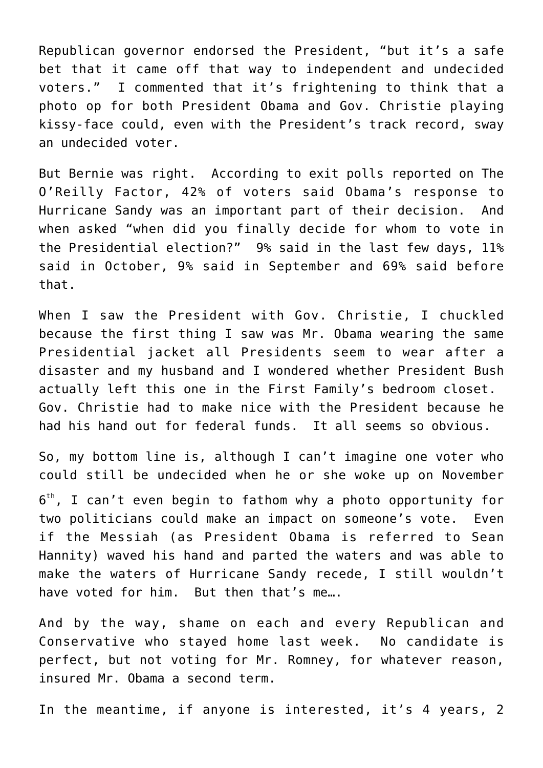Republican governor endorsed the President, "but it's a safe bet that it came off that way to independent and undecided voters." I commented that it's frightening to think that a photo op for both President Obama and Gov. Christie playing kissy-face could, even with the President's track record, sway an undecided voter.

But Bernie was right. According to exit polls reported on The O'Reilly Factor, 42% of voters said Obama's response to Hurricane Sandy was an important part of their decision. And when asked "when did you finally decide for whom to vote in the Presidential election?" 9% said in the last few days, 11% said in October, 9% said in September and 69% said before that.

When I saw the President with Gov. Christie, I chuckled because the first thing I saw was Mr. Obama wearing the same Presidential jacket all Presidents seem to wear after a disaster and my husband and I wondered whether President Bush actually left this one in the First Family's bedroom closet. Gov. Christie had to make nice with the President because he had his hand out for federal funds. It all seems so obvious.

So, my bottom line is, although I can't imagine one voter who could still be undecided when he or she woke up on November

 $6^{\text{th}}$ , I can't even begin to fathom why a photo opportunity for two politicians could make an impact on someone's vote. Even if the Messiah (as President Obama is referred to Sean Hannity) waved his hand and parted the waters and was able to make the waters of Hurricane Sandy recede, I still wouldn't have voted for him. But then that's me….

And by the way, shame on each and every Republican and Conservative who stayed home last week. No candidate is perfect, but not voting for Mr. Romney, for whatever reason, insured Mr. Obama a second term.

In the meantime, if anyone is interested, it's 4 years, 2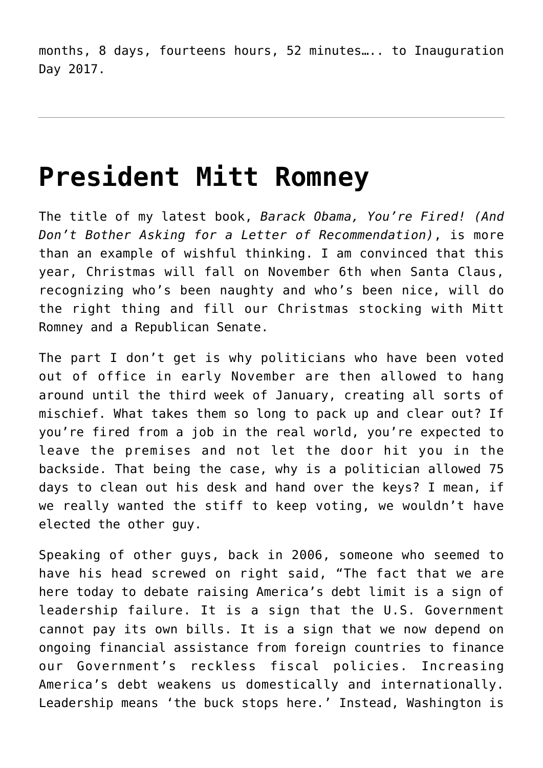months, 8 days, fourteens hours, 52 minutes….. to Inauguration Day 2017.

### **[President Mitt Romney](https://bernardgoldberg.com/president-mitt-romney/)**

The title of my latest book, *Barack Obama, You're Fired! (And Don't Bother Asking for a Letter of Recommendation)*, is more than an example of wishful thinking. I am convinced that this year, Christmas will fall on November 6th when Santa Claus, recognizing who's been naughty and who's been nice, will do the right thing and fill our Christmas stocking with Mitt Romney and a Republican Senate.

The part I don't get is why politicians who have been voted out of office in early November are then allowed to hang around until the third week of January, creating all sorts of mischief. What takes them so long to pack up and clear out? If you're fired from a job in the real world, you're expected to leave the premises and not let the door hit you in the backside. That being the case, why is a politician allowed 75 days to clean out his desk and hand over the keys? I mean, if we really wanted the stiff to keep voting, we wouldn't have elected the other guy.

Speaking of other guys, back in 2006, someone who seemed to have his head screwed on right said, "The fact that we are here today to debate raising America's debt limit is a sign of leadership failure. It is a sign that the U.S. Government cannot pay its own bills. It is a sign that we now depend on ongoing financial assistance from foreign countries to finance our Government's reckless fiscal policies. Increasing America's debt weakens us domestically and internationally. Leadership means 'the buck stops here.' Instead, Washington is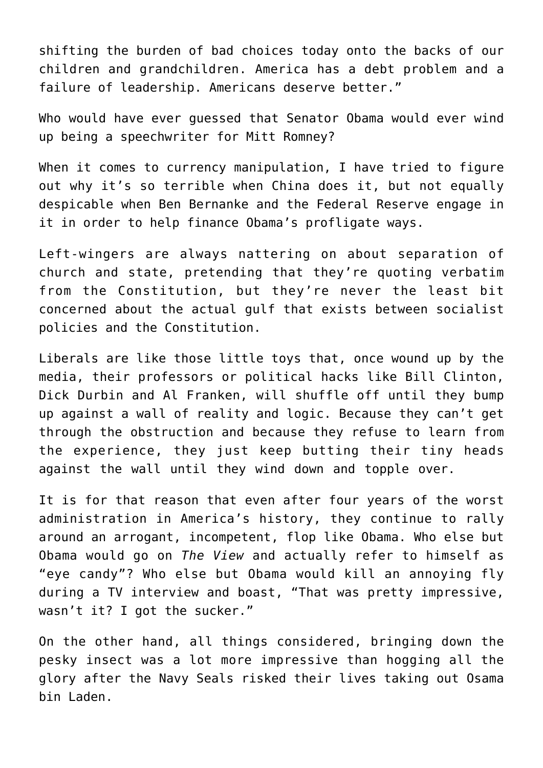shifting the burden of bad choices today onto the backs of our children and grandchildren. America has a debt problem and a failure of leadership. Americans deserve better."

Who would have ever guessed that Senator Obama would ever wind up being a speechwriter for Mitt Romney?

When it comes to currency manipulation, I have tried to figure out why it's so terrible when China does it, but not equally despicable when Ben Bernanke and the Federal Reserve engage in it in order to help finance Obama's profligate ways.

Left-wingers are always nattering on about separation of church and state, pretending that they're quoting verbatim from the Constitution, but they're never the least bit concerned about the actual gulf that exists between socialist policies and the Constitution.

Liberals are like those little toys that, once wound up by the media, their professors or political hacks like Bill Clinton, Dick Durbin and Al Franken, will shuffle off until they bump up against a wall of reality and logic. Because they can't get through the obstruction and because they refuse to learn from the experience, they just keep butting their tiny heads against the wall until they wind down and topple over.

It is for that reason that even after four years of the worst administration in America's history, they continue to rally around an arrogant, incompetent, flop like Obama. Who else but Obama would go on *The View* and actually refer to himself as "eye candy"? Who else but Obama would kill an annoying fly during a TV interview and boast, "That was pretty impressive, wasn't it? I got the sucker."

On the other hand, all things considered, bringing down the pesky insect was a lot more impressive than hogging all the glory after the Navy Seals risked their lives taking out Osama bin Laden.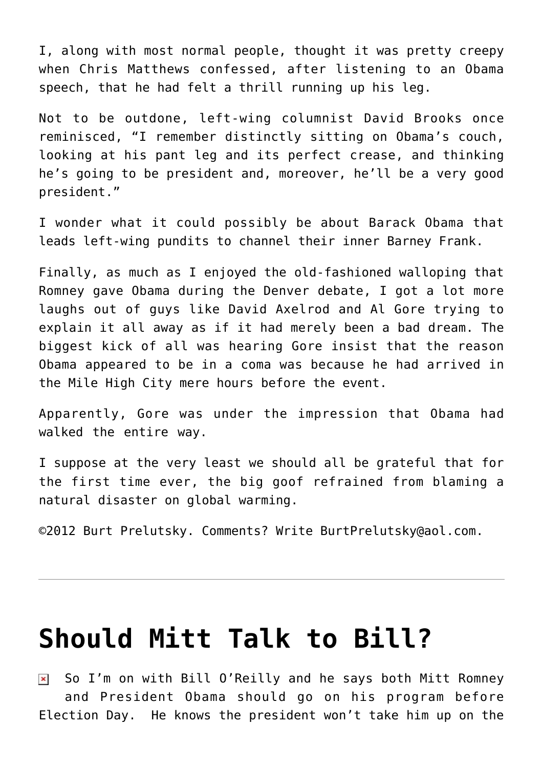I, along with most normal people, thought it was pretty creepy when Chris Matthews confessed, after listening to an Obama speech, that he had felt a thrill running up his leg.

Not to be outdone, left-wing columnist David Brooks once reminisced, "I remember distinctly sitting on Obama's couch, looking at his pant leg and its perfect crease, and thinking he's going to be president and, moreover, he'll be a very good president."

I wonder what it could possibly be about Barack Obama that leads left-wing pundits to channel their inner Barney Frank.

Finally, as much as I enjoyed the old-fashioned walloping that Romney gave Obama during the Denver debate, I got a lot more laughs out of guys like David Axelrod and Al Gore trying to explain it all away as if it had merely been a bad dream. The biggest kick of all was hearing Gore insist that the reason Obama appeared to be in a coma was because he had arrived in the Mile High City mere hours before the event.

Apparently, Gore was under the impression that Obama had walked the entire way.

I suppose at the very least we should all be grateful that for the first time ever, the big goof refrained from blaming a natural disaster on global warming.

©2012 [Burt Prelutsky](mailto:BurtPrelutsky@aol.com/). Comments? Write [BurtPrelutsky@aol.com](mailto:BurtPrelutsky@aol.com/).

#### **[Should Mitt Talk to Bill?](https://bernardgoldberg.com/should-mitt-talk-to-bill/)**

So I'm on with Bill O'Reilly and he says both Mitt Romney  $\pmb{\times}$ and President Obama should go on his program before Election Day. He knows the president won't take him up on the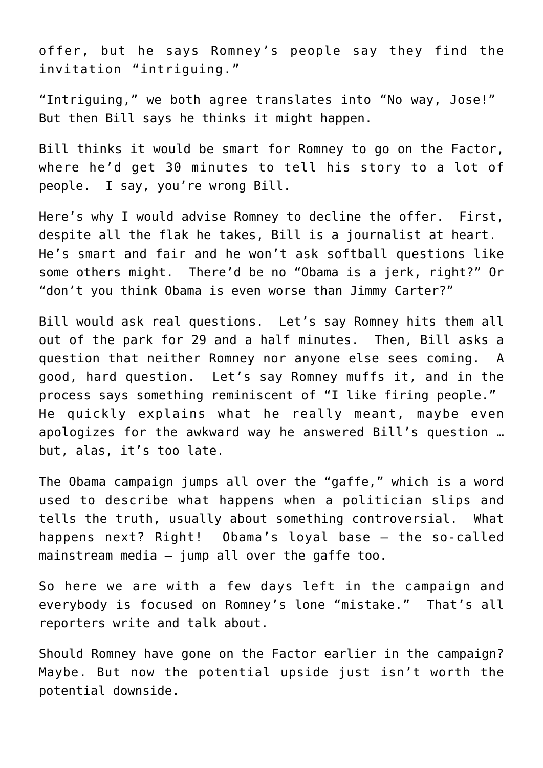offer, but he says Romney's people say they find the invitation "intriguing."

"Intriguing," we both agree translates into "No way, Jose!" But then Bill says he thinks it might happen.

Bill thinks it would be smart for Romney to go on the Factor, where he'd get 30 minutes to tell his story to a lot of people. I say, you're wrong Bill.

Here's why I would advise Romney to decline the offer. First, despite all the flak he takes, Bill is a journalist at heart. He's smart and fair and he won't ask softball questions like some others might. There'd be no "Obama is a jerk, right?" Or "don't you think Obama is even worse than Jimmy Carter?"

Bill would ask real questions. Let's say Romney hits them all out of the park for 29 and a half minutes. Then, Bill asks a question that neither Romney nor anyone else sees coming. A good, hard question. Let's say Romney muffs it, and in the process says something reminiscent of "I like firing people." He quickly explains what he really meant, maybe even apologizes for the awkward way he answered Bill's question … but, alas, it's too late.

The Obama campaign jumps all over the "gaffe," which is a word used to describe what happens when a politician slips and tells the truth, usually about something controversial. What happens next? Right! Obama's loyal base – the so-called mainstream media  $-$  jump all over the gaffe too.

So here we are with a few days left in the campaign and everybody is focused on Romney's lone "mistake." That's all reporters write and talk about.

Should Romney have gone on the Factor earlier in the campaign? Maybe. But now the potential upside just isn't worth the potential downside.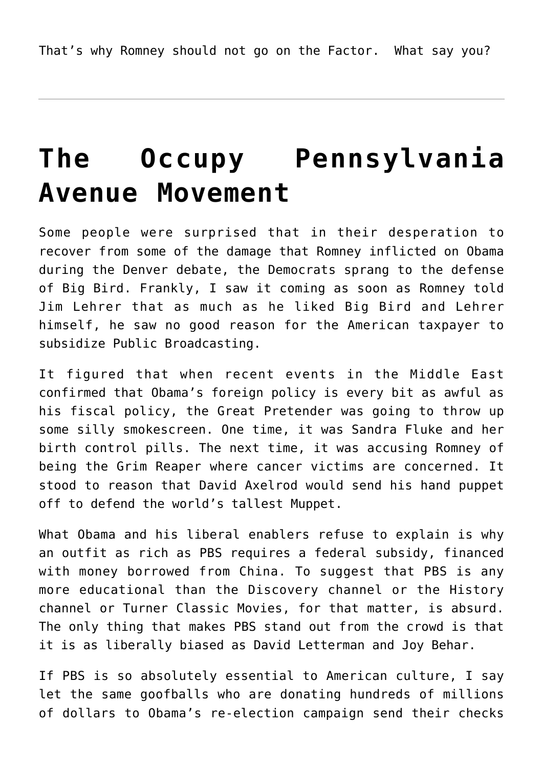# **[The Occupy Pennsylvania](https://bernardgoldberg.com/the-occupy-pennsylvania-avenue-movement/) [Avenue Movement](https://bernardgoldberg.com/the-occupy-pennsylvania-avenue-movement/)**

Some people were surprised that in their desperation to recover from some of the damage that Romney inflicted on Obama during the Denver debate, the Democrats sprang to the defense of Big Bird. Frankly, I saw it coming as soon as Romney told Jim Lehrer that as much as he liked Big Bird and Lehrer himself, he saw no good reason for the American taxpayer to subsidize Public Broadcasting.

It figured that when recent events in the Middle East confirmed that Obama's foreign policy is every bit as awful as his fiscal policy, the Great Pretender was going to throw up some silly smokescreen. One time, it was Sandra Fluke and her birth control pills. The next time, it was accusing Romney of being the Grim Reaper where cancer victims are concerned. It stood to reason that David Axelrod would send his hand puppet off to defend the world's tallest Muppet.

What Obama and his liberal enablers refuse to explain is why an outfit as rich as PBS requires a federal subsidy, financed with money borrowed from China. To suggest that PBS is any more educational than the Discovery channel or the History channel or Turner Classic Movies, for that matter, is absurd. The only thing that makes PBS stand out from the crowd is that it is as liberally biased as David Letterman and Joy Behar.

If PBS is so absolutely essential to American culture, I say let the same goofballs who are donating hundreds of millions of dollars to Obama's re-election campaign send their checks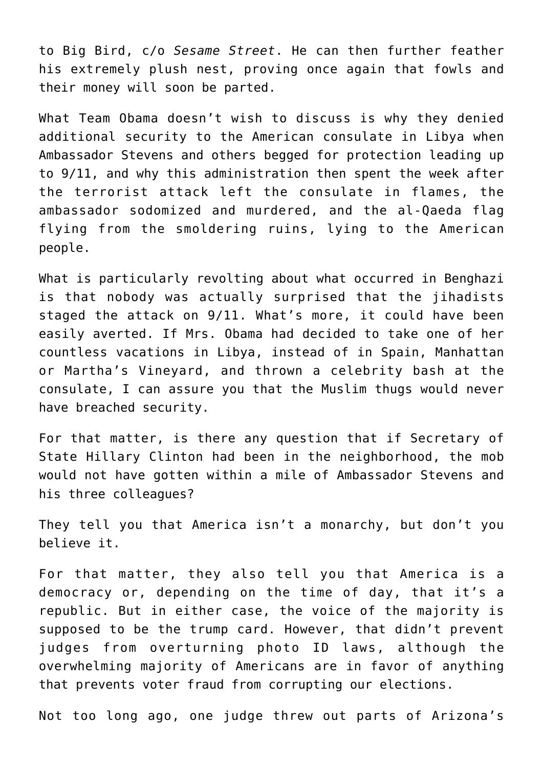to Big Bird, c/o *Sesame Street*. He can then further feather his extremely plush nest, proving once again that fowls and their money will soon be parted.

What Team Obama doesn't wish to discuss is why they denied additional security to the American consulate in Libya when Ambassador Stevens and others begged for protection leading up to 9/11, and why this administration then spent the week after the terrorist attack left the consulate in flames, the ambassador sodomized and murdered, and the al-Qaeda flag flying from the smoldering ruins, lying to the American people.

What is particularly revolting about what occurred in Benghazi is that nobody was actually surprised that the jihadists staged the attack on 9/11. What's more, it could have been easily averted. If Mrs. Obama had decided to take one of her countless vacations in Libya, instead of in Spain, Manhattan or Martha's Vineyard, and thrown a celebrity bash at the consulate, I can assure you that the Muslim thugs would never have breached security.

For that matter, is there any question that if Secretary of State Hillary Clinton had been in the neighborhood, the mob would not have gotten within a mile of Ambassador Stevens and his three colleagues?

They tell you that America isn't a monarchy, but don't you believe it.

For that matter, they also tell you that America is a democracy or, depending on the time of day, that it's a republic. But in either case, the voice of the majority is supposed to be the trump card. However, that didn't prevent judges from overturning photo ID laws, although the overwhelming majority of Americans are in favor of anything that prevents voter fraud from corrupting our elections.

Not too long ago, one judge threw out parts of Arizona's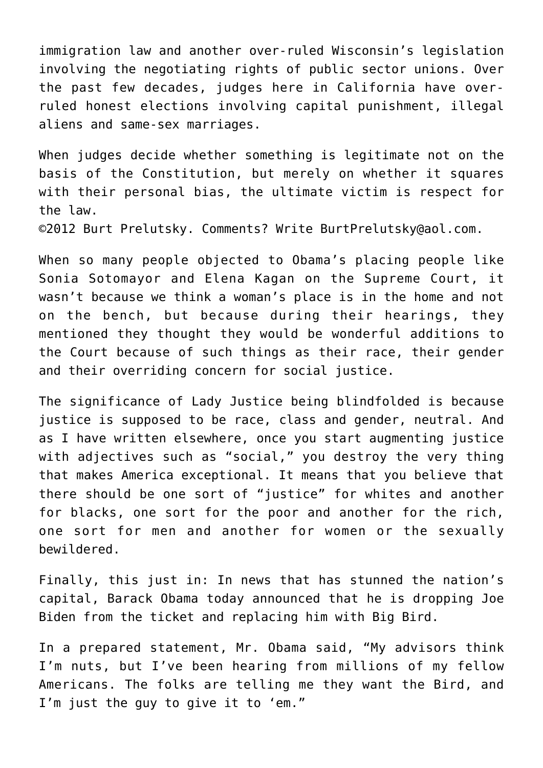immigration law and another over-ruled Wisconsin's legislation involving the negotiating rights of public sector unions. Over the past few decades, judges here in California have overruled honest elections involving capital punishment, illegal aliens and same-sex marriages.

When judges decide whether something is legitimate not on the basis of the Constitution, but merely on whether it squares with their personal bias, the ultimate victim is respect for the law.

©2012 [Burt Prelutsky](mailto:BurtPrelutsky@aol.com/). Comments? Write [BurtPrelutsky@aol.com](mailto:BurtPrelutsky@aol.com/).

When so many people objected to Obama's placing people like Sonia Sotomayor and Elena Kagan on the Supreme Court, it wasn't because we think a woman's place is in the home and not on the bench, but because during their hearings, they mentioned they thought they would be wonderful additions to the Court because of such things as their race, their gender and their overriding concern for social justice.

The significance of Lady Justice being blindfolded is because justice is supposed to be race, class and gender, neutral. And as I have written elsewhere, once you start augmenting justice with adjectives such as "social," you destroy the very thing that makes America exceptional. It means that you believe that there should be one sort of "justice" for whites and another for blacks, one sort for the poor and another for the rich, one sort for men and another for women or the sexually bewildered.

Finally, this just in: In news that has stunned the nation's capital, Barack Obama today announced that he is dropping Joe Biden from the ticket and replacing him with Big Bird.

In a prepared statement, Mr. Obama said, "My advisors think I'm nuts, but I've been hearing from millions of my fellow Americans. The folks are telling me they want the Bird, and I'm just the guy to give it to 'em."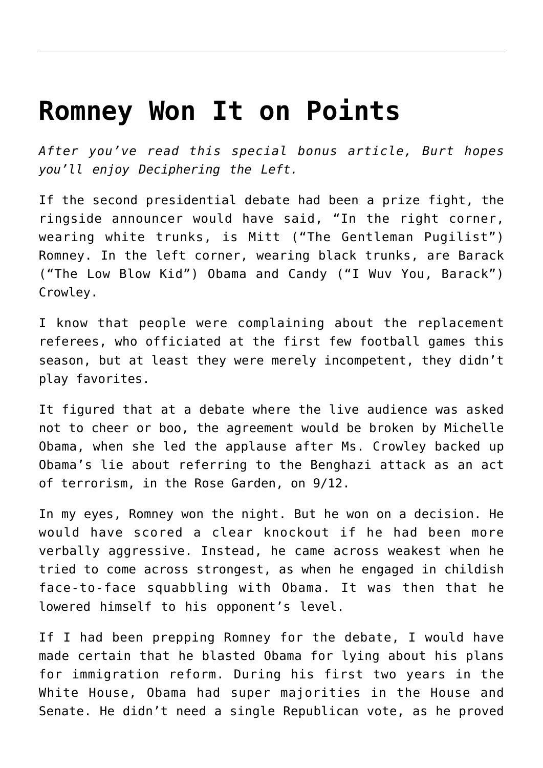#### **[Romney Won It on Points](https://bernardgoldberg.com/romney-won-it-on-points/)**

*After you've read this special bonus article, Burt hopes you'll enjoy [Deciphering the Left.](http://www.hdi3.wpengine.com/deciphering-the-left/)*

If the second presidential debate had been a prize fight, the ringside announcer would have said, "In the right corner, wearing white trunks, is Mitt ("The Gentleman Pugilist") Romney. In the left corner, wearing black trunks, are Barack ("The Low Blow Kid") Obama and Candy ("I Wuv You, Barack") Crowley.

I know that people were complaining about the replacement referees, who officiated at the first few football games this season, but at least they were merely incompetent, they didn't play favorites.

It figured that at a debate where the live audience was asked not to cheer or boo, the agreement would be broken by Michelle Obama, when she led the applause after Ms. Crowley backed up Obama's lie about referring to the Benghazi attack as an act of terrorism, in the Rose Garden, on 9/12.

In my eyes, Romney won the night. But he won on a decision. He would have scored a clear knockout if he had been more verbally aggressive. Instead, he came across weakest when he tried to come across strongest, as when he engaged in childish face-to-face squabbling with Obama. It was then that he lowered himself to his opponent's level.

If I had been prepping Romney for the debate, I would have made certain that he blasted Obama for lying about his plans for immigration reform. During his first two years in the White House, Obama had super majorities in the House and Senate. He didn't need a single Republican vote, as he proved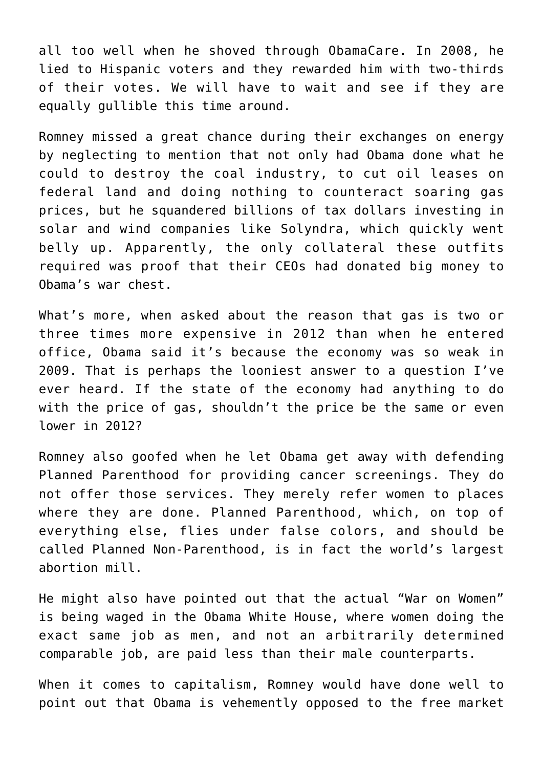all too well when he shoved through ObamaCare. In 2008, he lied to Hispanic voters and they rewarded him with two-thirds of their votes. We will have to wait and see if they are equally gullible this time around.

Romney missed a great chance during their exchanges on energy by neglecting to mention that not only had Obama done what he could to destroy the coal industry, to cut oil leases on federal land and doing nothing to counteract soaring gas prices, but he squandered billions of tax dollars investing in solar and wind companies like Solyndra, which quickly went belly up. Apparently, the only collateral these outfits required was proof that their CEOs had donated big money to Obama's war chest.

What's more, when asked about the reason that gas is two or three times more expensive in 2012 than when he entered office, Obama said it's because the economy was so weak in 2009. That is perhaps the looniest answer to a question I've ever heard. If the state of the economy had anything to do with the price of gas, shouldn't the price be the same or even lower in 2012?

Romney also goofed when he let Obama get away with defending Planned Parenthood for providing cancer screenings. They do not offer those services. They merely refer women to places where they are done. Planned Parenthood, which, on top of everything else, flies under false colors, and should be called Planned Non-Parenthood, is in fact the world's largest abortion mill.

He might also have pointed out that the actual "War on Women" is being waged in the Obama White House, where women doing the exact same job as men, and not an arbitrarily determined comparable job, are paid less than their male counterparts.

When it comes to capitalism, Romney would have done well to point out that Obama is vehemently opposed to the free market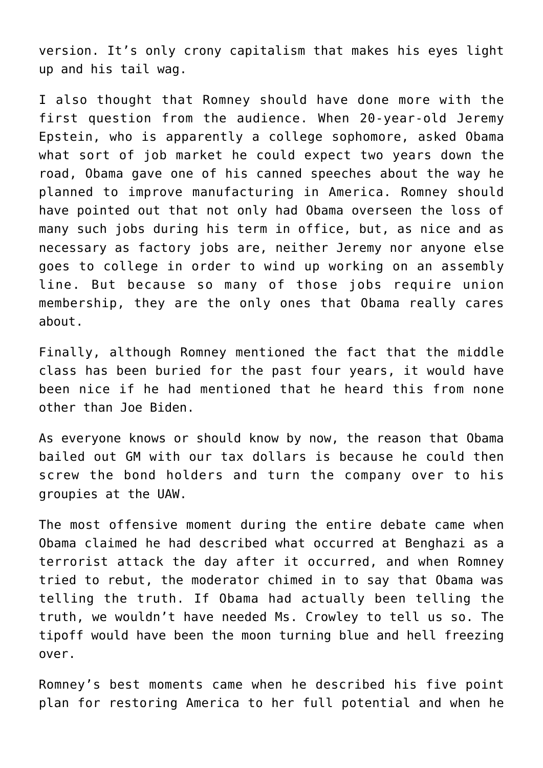version. It's only crony capitalism that makes his eyes light up and his tail wag.

I also thought that Romney should have done more with the first question from the audience. When 20-year-old Jeremy Epstein, who is apparently a college sophomore, asked Obama what sort of job market he could expect two years down the road, Obama gave one of his canned speeches about the way he planned to improve manufacturing in America. Romney should have pointed out that not only had Obama overseen the loss of many such jobs during his term in office, but, as nice and as necessary as factory jobs are, neither Jeremy nor anyone else goes to college in order to wind up working on an assembly line. But because so many of those jobs require union membership, they are the only ones that Obama really cares about.

Finally, although Romney mentioned the fact that the middle class has been buried for the past four years, it would have been nice if he had mentioned that he heard this from none other than Joe Biden.

As everyone knows or should know by now, the reason that Obama bailed out GM with our tax dollars is because he could then screw the bond holders and turn the company over to his groupies at the UAW.

The most offensive moment during the entire debate came when Obama claimed he had described what occurred at Benghazi as a terrorist attack the day after it occurred, and when Romney tried to rebut, the moderator chimed in to say that Obama was telling the truth. If Obama had actually been telling the truth, we wouldn't have needed Ms. Crowley to tell us so. The tipoff would have been the moon turning blue and hell freezing over.

Romney's best moments came when he described his five point plan for restoring America to her full potential and when he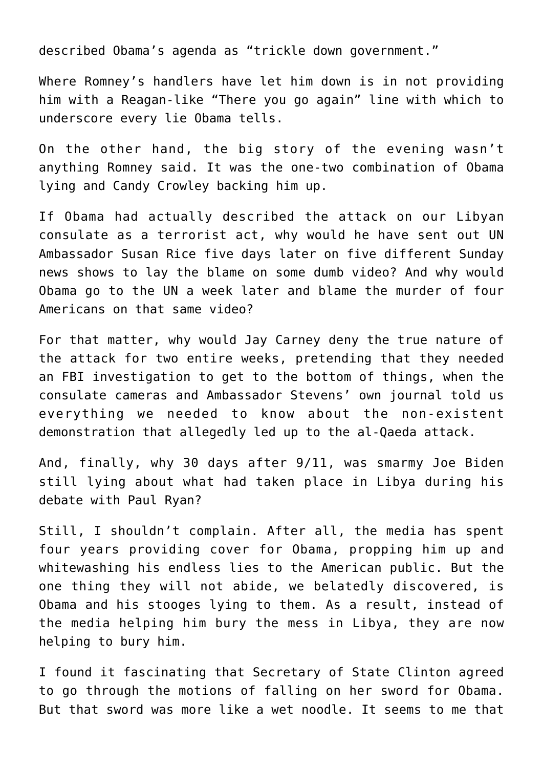described Obama's agenda as "trickle down government."

Where Romney's handlers have let him down is in not providing him with a Reagan-like "There you go again" line with which to underscore every lie Obama tells.

On the other hand, the big story of the evening wasn't anything Romney said. It was the one-two combination of Obama lying and Candy Crowley backing him up.

If Obama had actually described the attack on our Libyan consulate as a terrorist act, why would he have sent out UN Ambassador Susan Rice five days later on five different Sunday news shows to lay the blame on some dumb video? And why would Obama go to the UN a week later and blame the murder of four Americans on that same video?

For that matter, why would Jay Carney deny the true nature of the attack for two entire weeks, pretending that they needed an FBI investigation to get to the bottom of things, when the consulate cameras and Ambassador Stevens' own journal told us everything we needed to know about the non-existent demonstration that allegedly led up to the al-Qaeda attack.

And, finally, why 30 days after 9/11, was smarmy Joe Biden still lying about what had taken place in Libya during his debate with Paul Ryan?

Still, I shouldn't complain. After all, the media has spent four years providing cover for Obama, propping him up and whitewashing his endless lies to the American public. But the one thing they will not abide, we belatedly discovered, is Obama and his stooges lying to them. As a result, instead of the media helping him bury the mess in Libya, they are now helping to bury him.

I found it fascinating that Secretary of State Clinton agreed to go through the motions of falling on her sword for Obama. But that sword was more like a wet noodle. It seems to me that